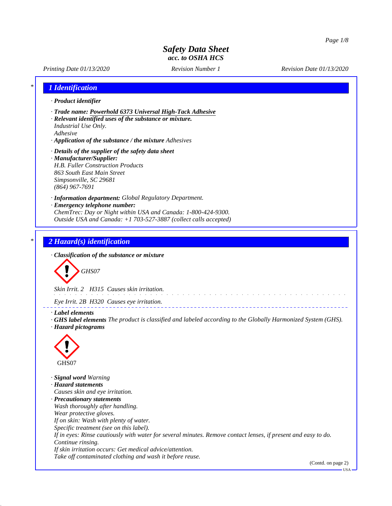# *Printing Date 01/13/2020 Revision Number 1 Revision Date 01/13/2020 \* 1 Identification · Product identifier · Trade name: Powerhold 6373 Universal High-Tack Adhesive · Relevant identified uses of the substance or mixture. Industrial Use Only. Adhesive · Application of the substance / the mixture Adhesives · Details of the supplier of the safety data sheet · Manufacturer/Supplier: H.B. Fuller Construction Products 863 South East Main Street Simpsonville, SC 29681 (864) 967-7691 · Information department: Global Regulatory Department. · Emergency telephone number: ChemTrec: Day or Night within USA and Canada: 1-800-424-9300. Outside USA and Canada: +1 703-527-3887 (collect calls accepted) \* 2 Hazard(s) identification · Classification of the substance or mixture GHS07 Skin Irrit. 2 H315 Causes skin irritation. Eye Irrit. 2B H320 Causes eye irritation. · Label elements · GHS label elements The product is classified and labeled according to the Globally Harmonized System (GHS). · Hazard pictograms*

GHS07

*· Signal word Warning · Hazard statements Causes skin and eye irritation. · Precautionary statements Wash thoroughly after handling. Wear protective gloves. If on skin: Wash with plenty of water. Specific treatment (see on this label). If in eyes: Rinse cautiously with water for several minutes. Remove contact lenses, if present and easy to do. Continue rinsing. If skin irritation occurs: Get medical advice/attention. Take off contaminated clothing and wash it before reuse.*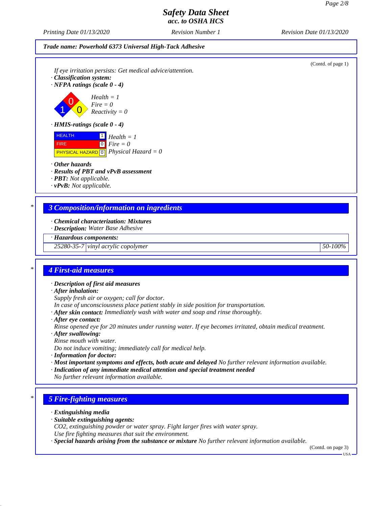(Contd. of page 1)

# *Safety Data Sheet acc. to OSHA HCS*

*Printing Date 01/13/2020 Revision Number 1 Revision Date 01/13/2020*

#### *Trade name: Powerhold 6373 Universal High-Tack Adhesive*

*If eye irritation persists: Get medical advice/attention.*

*· Classification system:*

*· NFPA ratings (scale 0 - 4)*

0  $\overline{\mathbf{0}}$ *Health = 1 Fire = 0 Reactivity = 0*

*· HMIS-ratings (scale 0 - 4)*

| <b>HEALTH</b> | $\perp$ Health = 1                                            |
|---------------|---------------------------------------------------------------|
| <b>FIRE</b>   | $\log$ Fire = 0                                               |
|               | <b>PHYSICAL HAZARD</b> $\boxed{0}$ <i>Physical Hazard</i> = 0 |

#### *· Other hazards*

1

*· Results of PBT and vPvB assessment*

*· PBT: Not applicable.*

*· vPvB: Not applicable.*

## *\* 3 Composition/information on ingredients*

*· Chemical characterization: Mixtures*

*· Description: Water Base Adhesive*

*· Hazardous components:*

*25280-35-7 vinyl acrylic copolymer 50-100%*

#### *\* 4 First-aid measures*

*· Description of first aid measures*

*· After inhalation:*

*Supply fresh air or oxygen; call for doctor.*

- *In case of unconsciousness place patient stably in side position for transportation.*
- *· After skin contact: Immediately wash with water and soap and rinse thoroughly.*
- *· After eye contact:*

*Rinse opened eye for 20 minutes under running water. If eye becomes irritated, obtain medical treatment.*

- *· After swallowing:*
- *Rinse mouth with water.*
- *Do not induce vomiting; immediately call for medical help.*
- *· Information for doctor:*
- *· Most important symptoms and effects, both acute and delayed No further relevant information available.*
- *· Indication of any immediate medical attention and special treatment needed*

*No further relevant information available.*

## *\* 5 Fire-fighting measures*

- *· Extinguishing media*
- *· Suitable extinguishing agents:*
- *CO2, extinguishing powder or water spray. Fight larger fires with water spray.*
- *Use fire fighting measures that suit the environment.*
- *· Special hazards arising from the substance or mixture No further relevant information available.*

(Contd. on page 3)

USA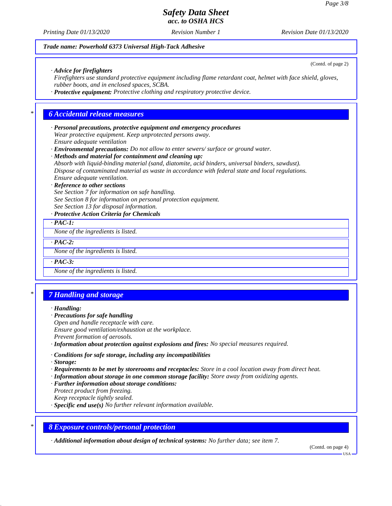(Contd. of page 2)

# *Safety Data Sheet acc. to OSHA HCS*

*Printing Date 01/13/2020 Revision Number 1 Revision Date 01/13/2020*

### *Trade name: Powerhold 6373 Universal High-Tack Adhesive*

*· Advice for firefighters*

*Firefighters use standard protective equipment including flame retardant coat, helmet with face shield, gloves, rubber boots, and in enclosed spaces, SCBA.*

*· Protective equipment: Protective clothing and respiratory protective device.*

## *\* 6 Accidental release measures*

*· Personal precautions, protective equipment and emergency procedures Wear protective equipment. Keep unprotected persons away. Ensure adequate ventilation*

*· Environmental precautions: Do not allow to enter sewers/ surface or ground water.*

*· Methods and material for containment and cleaning up:*

*Absorb with liquid-binding material (sand, diatomite, acid binders, universal binders, sawdust). Dispose of contaminated material as waste in accordance with federal state and local regulations. Ensure adequate ventilation.*

#### *· Reference to other sections*

*See Section 7 for information on safe handling.*

*See Section 8 for information on personal protection equipment.*

*See Section 13 for disposal information.*

#### *· Protective Action Criteria for Chemicals*

*· PAC-1:*

*None of the ingredients is listed.*

*· PAC-2:*

*None of the ingredients is listed.*

*· PAC-3:*

*None of the ingredients is listed.*

## *\* 7 Handling and storage*

#### *· Handling:*

- *· Precautions for safe handling*
- *Open and handle receptacle with care.*

*Ensure good ventilation/exhaustion at the workplace.*

*Prevent formation of aerosols.*

*· Information about protection against explosions and fires: No special measures required.*

*· Conditions for safe storage, including any incompatibilities*

*· Storage:*

- *· Requirements to be met by storerooms and receptacles: Store in a cool location away from direct heat.*
- *· Information about storage in one common storage facility: Store away from oxidizing agents.*
- *· Further information about storage conditions:*
- *Protect product from freezing.*

*Keep receptacle tightly sealed.*

*· Specific end use(s) No further relevant information available.*

#### *\* 8 Exposure controls/personal protection*

*· Additional information about design of technical systems: No further data; see item 7.*

(Contd. on page 4)

USA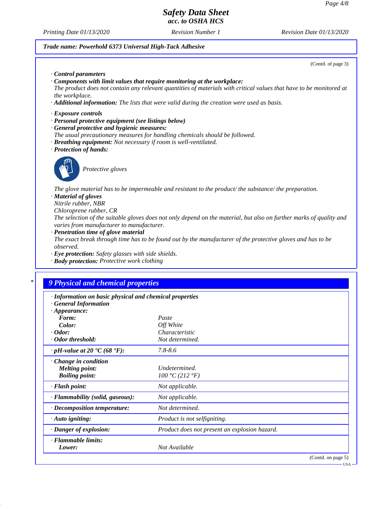USA

# *Safety Data Sheet acc. to OSHA HCS*

*Printing Date 01/13/2020 Revision Number 1 Revision Date 01/13/2020*

# *Trade name: Powerhold 6373 Universal High-Tack Adhesive*

| (Contd. of page 3)                                                                                                                                                                                                                                                                                                                         |
|--------------------------------------------------------------------------------------------------------------------------------------------------------------------------------------------------------------------------------------------------------------------------------------------------------------------------------------------|
| Control parameters<br>$\cdot$ Components with limit values that require monitoring at the workplace:<br>The product does not contain any relevant quantities of materials with critical values that have to be monitored at<br>the workplace.<br>Additional information: The lists that were valid during the creation were used as basis. |
| $\cdot$ Exposure controls<br>· Personal protective equipment (see listings below)<br>· General protective and hygienic measures:<br>The usual precautionary measures for handling chemicals should be followed.<br>· Breathing equipment: Not necessary if room is well-ventilated.<br>· Protection of hands:                              |
| Protective gloves                                                                                                                                                                                                                                                                                                                          |
| The glove material has to be impermeable and resistant to the product/ the substance/ the preparation.<br>· Material of gloves<br>Nitrile rubber, NBR<br>Chloroprene rubber, CR                                                                                                                                                            |
| The selection of the suitable gloves does not only depend on the material, but also on further marks of quality and<br>varies from manufacturer to manufacturer.                                                                                                                                                                           |
| · Penetration time of glove material<br>The exact break through time has to be found out by the manufacturer of the protective gloves and has to be<br><i>observed.</i>                                                                                                                                                                    |

- *· Eye protection: Safety glasses with side shields.*
- *· Body protection: Protective work clothing*

# *\* 9 Physical and chemical properties*

| · Information on basic physical and chemical properties<br><b>General Information</b> |                                               |                    |
|---------------------------------------------------------------------------------------|-----------------------------------------------|--------------------|
| $\cdot$ Appearance:                                                                   |                                               |                    |
| Form:                                                                                 | Paste                                         |                    |
| Color:                                                                                | Off White                                     |                    |
| $\cdot$ Odor:                                                                         | Characteristic                                |                    |
| · Odor threshold:                                                                     | Not determined.                               |                    |
| $\cdot$ pH-value at 20 $\textdegree$ C (68 $\textdegree$ F):                          | $7.8 - 8.6$                                   |                    |
| Change in condition<br><b>Melting point:</b><br><b>Boiling point:</b>                 | Undetermined.<br>100 °C (212 °F)              |                    |
| · Flash point:                                                                        | Not applicable.                               |                    |
| · Flammability (solid, gaseous):                                                      | Not applicable.                               |                    |
| $\cdot$ Decomposition temperature:                                                    | Not determined.                               |                    |
| $\cdot$ Auto igniting:                                                                | <i>Product is not selfigniting.</i>           |                    |
| · Danger of explosion:                                                                | Product does not present an explosion hazard. |                    |
| · Flammable limits:<br>Lower:                                                         | Not Available                                 |                    |
|                                                                                       |                                               | (Contd. on page 5) |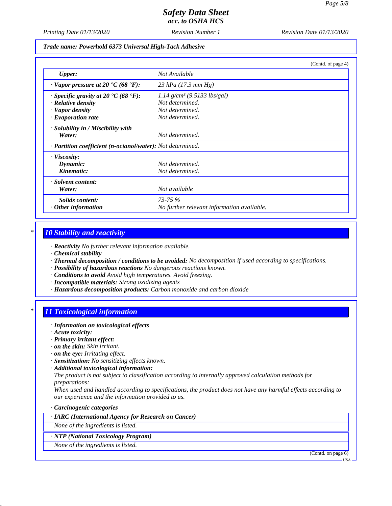*Printing Date 01/13/2020 Revision Number 1 Revision Date 01/13/2020*

*Trade name: Powerhold 6373 Universal High-Tack Adhesive*

|                                                                   | (Contd. of page 4)                         |  |
|-------------------------------------------------------------------|--------------------------------------------|--|
| <b>Upper:</b>                                                     | Not Available                              |  |
| $\cdot$ Vapor pressure at 20 $\cdot$ C (68 $\cdot$ F):            | 23 hPa $(17.3 \text{ mm Hg})$              |  |
| $\cdot$ Specific gravity at 20 °C (68 °F):                        | $1.14$ g/cm <sup>3</sup> (9.5133 lbs/gal)  |  |
| · Relative density                                                | Not determined.                            |  |
| · Vapor density                                                   | Not determined.                            |  |
| $\cdot$ Evaporation rate                                          | Not determined.                            |  |
| · Solubility in / Miscibility with                                |                                            |  |
| Water:                                                            | Not determined.                            |  |
| · <b>Partition coefficient (n-octanol/water):</b> Not determined. |                                            |  |
| · Viscosity:                                                      |                                            |  |
| Dynamic:                                                          | Not determined.                            |  |
| Kinematic:                                                        | Not determined.                            |  |
| · Solvent content:                                                |                                            |  |
| Water:                                                            | Not available                              |  |
| Solids content:                                                   | $73 - 75\%$                                |  |
| $\cdot$ Other information                                         | No further relevant information available. |  |

## *\* 10 Stability and reactivity*

*· Reactivity No further relevant information available.*

- *· Chemical stability*
- *· Thermal decomposition / conditions to be avoided: No decomposition if used according to specifications.*
- *· Possibility of hazardous reactions No dangerous reactions known.*
- *· Conditions to avoid Avoid high temperatures. Avoid freezing.*
- *· Incompatible materials: Strong oxidizing agents*
- *· Hazardous decomposition products: Carbon monoxide and carbon dioxide*

## *\* 11 Toxicological information*

- *· Information on toxicological effects*
- *· Acute toxicity:*
- *· Primary irritant effect:*
- *· on the skin: Skin irritant.*
- *· on the eye: Irritating effect.*
- *· Sensitization: No sensitizing effects known.*
- *· Additional toxicological information:*

*The product is not subject to classification according to internally approved calculation methods for preparations:*

*When used and handled according to specifications, the product does not have any harmful effects according to our experience and the information provided to us.*

*· Carcinogenic categories*

*· IARC (International Agency for Research on Cancer)*

*None of the ingredients is listed.*

#### *· NTP (National Toxicology Program)*

*None of the ingredients is listed.*

(Contd. on page 6)

USA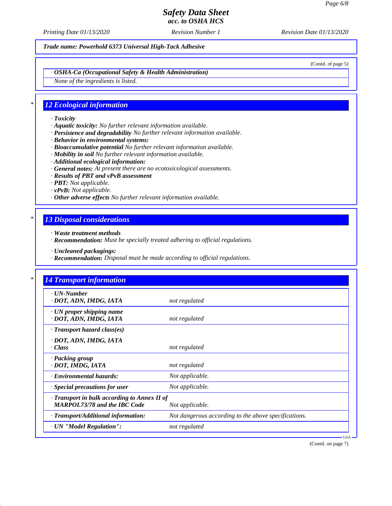*Printing Date 01/13/2020 Revision Number 1 Revision Date 01/13/2020*

*Trade name: Powerhold 6373 Universal High-Tack Adhesive*

(Contd. of page 5)

*· OSHA-Ca (Occupational Safety & Health Administration)*

*None of the ingredients is listed.*

## *\* 12 Ecological information*

- *· Toxicity*
- *· Aquatic toxicity: No further relevant information available.*
- *· Persistence and degradability No further relevant information available.*
- *· Behavior in environmental systems:*
- *· Bioaccumulative potential No further relevant information available.*
- *· Mobility in soil No further relevant information available.*
- *· Additional ecological information:*
- *· General notes: At present there are no ecotoxicological assessments.*
- *· Results of PBT and vPvB assessment*
- *· PBT: Not applicable.*
- *· vPvB: Not applicable.*
- *· Other adverse effects No further relevant information available.*

# *\* 13 Disposal considerations*

- *· Waste treatment methods*
- *· Recommendation: Must be specially treated adhering to official regulations.*
- *· Uncleaned packagings:*
- *· Recommendation: Disposal must be made according to official regulations.*

| $\cdot$ UN-Number                            |                                                      |
|----------------------------------------------|------------------------------------------------------|
| · DOT, ADN, IMDG, IATA                       | not regulated                                        |
| $\cdot$ UN proper shipping name              |                                                      |
| · DOT, ADN, IMDG, IATA                       | not regulated                                        |
| $\cdot$ Transport hazard class(es)           |                                                      |
| · DOT, ADN, IMDG, IATA                       |                                                      |
| · Class                                      | not regulated                                        |
| · Packing group                              |                                                      |
| · DOT, IMDG, IATA                            | not regulated                                        |
| · Environmental hazards:                     | Not applicable.                                      |
| · Special precautions for user               | Not applicable.                                      |
| · Transport in bulk according to Annex II of |                                                      |
| <b>MARPOL73/78 and the IBC Code</b>          | Not applicable.                                      |
| · Transport/Additional information:          | Not dangerous according to the above specifications. |
| · UN "Model Regulation":                     | not regulated                                        |

(Contd. on page 7)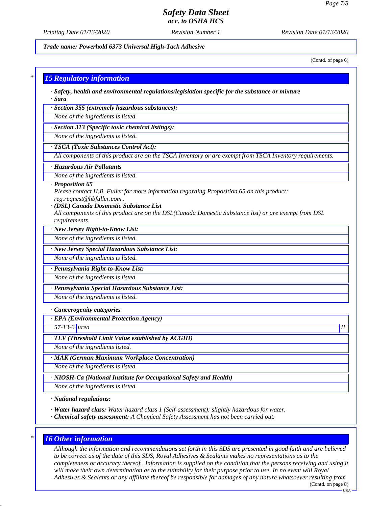*Printing Date 01/13/2020 Revision Number 1 Revision Date 01/13/2020*

*Trade name: Powerhold 6373 Universal High-Tack Adhesive*

(Contd. of page 6)

#### *\* 15 Regulatory information*

*· Safety, health and environmental regulations/legislation specific for the substance or mixture · Sara*

*· Section 355 (extremely hazardous substances):*

*None of the ingredients is listed.*

*· Section 313 (Specific toxic chemical listings):*

*None of the ingredients is listed.*

## *· TSCA (Toxic Substances Control Act):*

*All components of this product are on the TSCA Inventory or are exempt from TSCA Inventory requirements.*

#### *· Hazardous Air Pollutants*

*None of the ingredients is listed.*

#### *· Proposition 65*

*Please contact H.B. Fuller for more information regarding Proposition 65 on this product: reg.request@hbfuller.com .*

#### *· (DSL) Canada Dosmestic Substance List*

*All components of this product are on the DSL(Canada Domestic Substance list) or are exempt from DSL requirements.*

*· New Jersey Right-to-Know List:*

*None of the ingredients is listed.*

*· New Jersey Special Hazardous Substance List:*

*None of the ingredients is listed.*

#### *· Pennsylvania Right-to-Know List:*

*None of the ingredients is listed.*

*· Pennsylvania Special Hazardous Substance List:*

*None of the ingredients is listed.*

#### *· Cancerogenity categories*

*· EPA (Environmental Protection Agency)*

*57-13-6 urea II*

#### *· TLV (Threshold Limit Value established by ACGIH)*

*None of the ingredients listed.*

## *· MAK (German Maximum Workplace Concentration)*

*None of the ingredients is listed.*

*· NIOSH-Ca (National Institute for Occupational Safety and Health)*

*None of the ingredients is listed.*

*· National regulations:*

*· Water hazard class: Water hazard class 1 (Self-assessment): slightly hazardous for water.*

*· Chemical safety assessment: A Chemical Safety Assessment has not been carried out.*

## *\* 16 Other information*

*Although the information and recommendations set forth in this SDS are presented in good faith and are believed to be correct as of the date of this SDS, Royal Adhesives & Sealants makes no representations as to the completeness or accuracy thereof. Information is supplied on the condition that the persons receiving and using it will make their own determination as to the suitability for their purpose prior to use. In no event will Royal Adhesives & Sealants or any affiliate thereof be responsible for damages of any nature whatsoever resulting from* (Contd. on page 8)